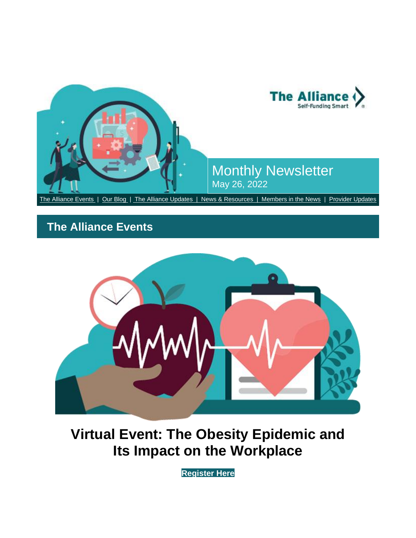

# <span id="page-0-0"></span>**The Alliance Events**



# **Virtual Event: The Obesity Epidemic and Its Impact on the Workplace**

**[Register Here](https://nam12.safelinks.protection.outlook.com/?url=http%3A%2F%2Fsend.the-alliance.org%2Flink.cfm%3Fr%3Dt1nVu6zhfyhdHlVQCxZuKw~~%26pe%3DJqsN0zpvYm0I3rlahAs7jFJRoIao2KbDp6EDYTKhRtK38g0BSEBq-gtr20UCNm7ZWVBxOls4Tuex3Esxb8nI7Q~~%26t%3Dl5PHDvPRC8Z87L1WrQSpAQ~~&data=05%7C01%7Cashohoney%40the-alliance.org%7Ca56c03aba8964fdaf36d08da3f31c663%7Cb887508f1654468eb5f63fec959c408d%7C0%7C0%7C637891780261254660%7CUnknown%7CTWFpbGZsb3d8eyJWIjoiMC4wLjAwMDAiLCJQIjoiV2luMzIiLCJBTiI6Ik1haWwiLCJXVCI6Mn0%3D%7C3000%7C%7C%7C&sdata=K9A3QzW5CvOh%2Bd%2BdwzCIB0Pkyepap1CZha99cZ61li8%3D&reserved=0)**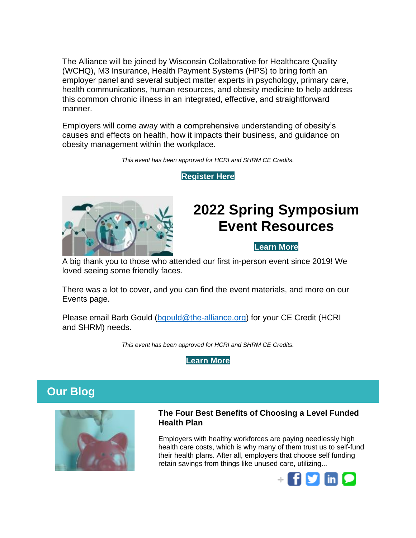The Alliance will be joined by Wisconsin Collaborative for Healthcare Quality (WCHQ), M3 Insurance, Health Payment Systems (HPS) to bring forth an employer panel and several subject matter experts in psychology, primary care, health communications, human resources, and obesity medicine to help address this common chronic illness in an integrated, effective, and straightforward manner.

Employers will come away with a comprehensive understanding of obesity's causes and effects on health, how it impacts their business, and guidance on obesity management within the workplace.

*This event has been approved for HCRI and SHRM CE Credits.*

**[Register Here](https://nam12.safelinks.protection.outlook.com/?url=http%3A%2F%2Fsend.the-alliance.org%2Flink.cfm%3Fr%3Dt1nVu6zhfyhdHlVQCxZuKw~~%26pe%3DBx4YOfgVYH5L_x14UryRTasDLt7LEdkq4UTK7N8zP5TmV7JMTJL8yfAlxfPUBMctkRJk16dkmXadiVmY4pDLJA~~%26t%3Dl5PHDvPRC8Z87L1WrQSpAQ~~&data=05%7C01%7Cashohoney%40the-alliance.org%7Ca56c03aba8964fdaf36d08da3f31c663%7Cb887508f1654468eb5f63fec959c408d%7C0%7C0%7C637891780261254660%7CUnknown%7CTWFpbGZsb3d8eyJWIjoiMC4wLjAwMDAiLCJQIjoiV2luMzIiLCJBTiI6Ik1haWwiLCJXVCI6Mn0%3D%7C3000%7C%7C%7C&sdata=MvoJXfPW%2FMDI1NVYj30cjXrVpEBuXmpA7vZNOpjg4X0%3D&reserved=0)**



# **2022 Spring Symposium Event Resources**

## **[Learn More](https://nam12.safelinks.protection.outlook.com/?url=http%3A%2F%2Fsend.the-alliance.org%2Flink.cfm%3Fr%3Dt1nVu6zhfyhdHlVQCxZuKw~~%26pe%3DtTyobwSEI_Hd7mtwpGbPcKSs00-auili2Ti6Tl-f6fPN9HM7ZGMJm4jDLTST4Bd9pdLYG6mUwtjedAoLb-k3MA~~%26t%3Dl5PHDvPRC8Z87L1WrQSpAQ~~&data=05%7C01%7Cashohoney%40the-alliance.org%7Ca56c03aba8964fdaf36d08da3f31c663%7Cb887508f1654468eb5f63fec959c408d%7C0%7C0%7C637891780261254660%7CUnknown%7CTWFpbGZsb3d8eyJWIjoiMC4wLjAwMDAiLCJQIjoiV2luMzIiLCJBTiI6Ik1haWwiLCJXVCI6Mn0%3D%7C3000%7C%7C%7C&sdata=u56lqiZKRq4uKkIsPPafYkukabAAedS1vE9g7mltj3A%3D&reserved=0)**

A big thank you to those who attended our first in-person event since 2019! We loved seeing some friendly faces.

There was a lot to cover, and you can find the event materials, and more on our Events page.

Please email Barb Gould [\(bgould@the-alliance.org\)](mailto:bgould@the-alliance.org) for your CE Credit (HCRI and SHRM) needs.

*This event has been approved for HCRI and SHRM CE Credits.*



## <span id="page-1-0"></span>**Our Blog**



### **[The Four Best Benefits of Choosing a Level Funded](https://nam12.safelinks.protection.outlook.com/?url=http%3A%2F%2Fsend.the-alliance.org%2Flink.cfm%3Fr%3Dt1nVu6zhfyhdHlVQCxZuKw~~%26pe%3DIyKYs_1yhVmXLt84QGktbuU68TByzFWgiMJPtaHXMyZw3Gs1AUp-6RuoTK_oWniCxg1gX3ontLlO9w3-MHQoJA~~%26t%3Dl5PHDvPRC8Z87L1WrQSpAQ~~&data=05%7C01%7Cashohoney%40the-alliance.org%7Ca56c03aba8964fdaf36d08da3f31c663%7Cb887508f1654468eb5f63fec959c408d%7C0%7C0%7C637891780261254660%7CUnknown%7CTWFpbGZsb3d8eyJWIjoiMC4wLjAwMDAiLCJQIjoiV2luMzIiLCJBTiI6Ik1haWwiLCJXVCI6Mn0%3D%7C3000%7C%7C%7C&sdata=rtxATnWb6OHOviwnRPfMUoQOMNctXoEzmPeZBCoa9L4%3D&reserved=0)  [Health Plan](https://nam12.safelinks.protection.outlook.com/?url=http%3A%2F%2Fsend.the-alliance.org%2Flink.cfm%3Fr%3Dt1nVu6zhfyhdHlVQCxZuKw~~%26pe%3DIyKYs_1yhVmXLt84QGktbuU68TByzFWgiMJPtaHXMyZw3Gs1AUp-6RuoTK_oWniCxg1gX3ontLlO9w3-MHQoJA~~%26t%3Dl5PHDvPRC8Z87L1WrQSpAQ~~&data=05%7C01%7Cashohoney%40the-alliance.org%7Ca56c03aba8964fdaf36d08da3f31c663%7Cb887508f1654468eb5f63fec959c408d%7C0%7C0%7C637891780261254660%7CUnknown%7CTWFpbGZsb3d8eyJWIjoiMC4wLjAwMDAiLCJQIjoiV2luMzIiLCJBTiI6Ik1haWwiLCJXVCI6Mn0%3D%7C3000%7C%7C%7C&sdata=rtxATnWb6OHOviwnRPfMUoQOMNctXoEzmPeZBCoa9L4%3D&reserved=0)**

Employers with healthy workforces are paying needlessly high health care costs, which is why many of them trust us to self-fund their health plans. After all, employers that choose self funding retain savings from things like unused care, utilizing...

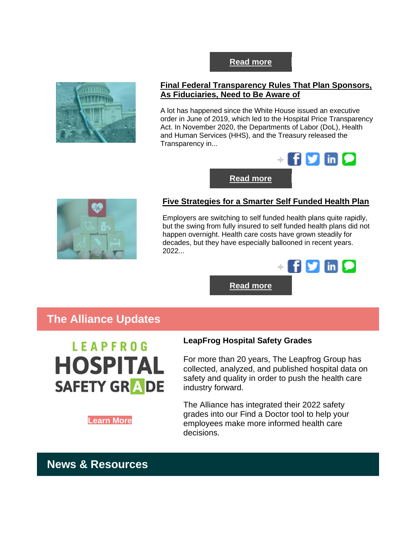## **[Final Federal Transparency Rules That Plan Sponsors,](https://nam12.safelinks.protection.outlook.com/?url=http%3A%2F%2Fsend.the-alliance.org%2Flink.cfm%3Fr%3Dt1nVu6zhfyhdHlVQCxZuKw~~%26pe%3D5-aBLS8009ODyhyv4ZV_0mFwbTTNGmhDVguMWtAB-_6Mq7uFnlhwpSW-JETz0zxbCauZNirpVmFm8umaKmzL0A~~%26t%3Dl5PHDvPRC8Z87L1WrQSpAQ~~&data=05%7C01%7Cashohoney%40the-alliance.org%7Ca56c03aba8964fdaf36d08da3f31c663%7Cb887508f1654468eb5f63fec959c408d%7C0%7C0%7C637891780261254660%7CUnknown%7CTWFpbGZsb3d8eyJWIjoiMC4wLjAwMDAiLCJQIjoiV2luMzIiLCJBTiI6Ik1haWwiLCJXVCI6Mn0%3D%7C3000%7C%7C%7C&sdata=rr6DkrLzycIlDf7l8TKuE5JFHMWAjGplosWuOnekXRo%3D&reserved=0)  [As Fiduciaries, Need to Be Aware of](https://nam12.safelinks.protection.outlook.com/?url=http%3A%2F%2Fsend.the-alliance.org%2Flink.cfm%3Fr%3Dt1nVu6zhfyhdHlVQCxZuKw~~%26pe%3D5-aBLS8009ODyhyv4ZV_0mFwbTTNGmhDVguMWtAB-_6Mq7uFnlhwpSW-JETz0zxbCauZNirpVmFm8umaKmzL0A~~%26t%3Dl5PHDvPRC8Z87L1WrQSpAQ~~&data=05%7C01%7Cashohoney%40the-alliance.org%7Ca56c03aba8964fdaf36d08da3f31c663%7Cb887508f1654468eb5f63fec959c408d%7C0%7C0%7C637891780261254660%7CUnknown%7CTWFpbGZsb3d8eyJWIjoiMC4wLjAwMDAiLCJQIjoiV2luMzIiLCJBTiI6Ik1haWwiLCJXVCI6Mn0%3D%7C3000%7C%7C%7C&sdata=rr6DkrLzycIlDf7l8TKuE5JFHMWAjGplosWuOnekXRo%3D&reserved=0)**

**[Read more](https://nam12.safelinks.protection.outlook.com/?url=http%3A%2F%2Fsend.the-alliance.org%2Flink.cfm%3Fr%3Dt1nVu6zhfyhdHlVQCxZuKw~~%26pe%3DSpK6WvhZ6M2FQyFYS5JKikvakPUC2H2ZMxTWpQpGOnI4XWZQO7aD6NU6tKozdrxf8bRJu6weGLRm7STDVN0Bnw~~%26t%3Dl5PHDvPRC8Z87L1WrQSpAQ~~&data=05%7C01%7Cashohoney%40the-alliance.org%7Ca56c03aba8964fdaf36d08da3f31c663%7Cb887508f1654468eb5f63fec959c408d%7C0%7C0%7C637891780261254660%7CUnknown%7CTWFpbGZsb3d8eyJWIjoiMC4wLjAwMDAiLCJQIjoiV2luMzIiLCJBTiI6Ik1haWwiLCJXVCI6Mn0%3D%7C3000%7C%7C%7C&sdata=hDIr5lsXy4Mq%2BjqIHezvK7d%2BuIdHs%2F72LSks9Wus5xU%3D&reserved=0)**

A lot has happened since the White House issued an executive order in June of 2019, which led to the Hospital Price Transparency Act. In November 2020, the Departments of Labor (DoL), Health and Human Services (HHS), and the Treasury released the Transparency in...



**[Read more](https://nam12.safelinks.protection.outlook.com/?url=http%3A%2F%2Fsend.the-alliance.org%2Flink.cfm%3Fr%3Dt1nVu6zhfyhdHlVQCxZuKw~~%26pe%3D3Y0kCLjt2VLAkKMujaLVhhD7XSm8KvqjdMmULMZatzvaYo3Eqlg9Pfa_SBk4M-4F_UE7txS1B8d5ZBLOf56wyw~~%26t%3Dl5PHDvPRC8Z87L1WrQSpAQ~~&data=05%7C01%7Cashohoney%40the-alliance.org%7Ca56c03aba8964fdaf36d08da3f31c663%7Cb887508f1654468eb5f63fec959c408d%7C0%7C0%7C637891780261254660%7CUnknown%7CTWFpbGZsb3d8eyJWIjoiMC4wLjAwMDAiLCJQIjoiV2luMzIiLCJBTiI6Ik1haWwiLCJXVCI6Mn0%3D%7C3000%7C%7C%7C&sdata=UI61jo42DxK%2F0lKpU%2BFwfrLPHEbPGQrD2zBLAyTmluw%3D&reserved=0)**



## **[Five Strategies for a Smarter Self Funded Health Plan](https://nam12.safelinks.protection.outlook.com/?url=http%3A%2F%2Fsend.the-alliance.org%2Flink.cfm%3Fr%3Dt1nVu6zhfyhdHlVQCxZuKw~~%26pe%3DOsXYc8s1HdNiqRFklFbPUHB4pfFSY-AA9yn-d2u4zPg4rEEjHM6TTKIvvyxMGRx_KfR-TydbgkVqF3vvQkWHpw~~%26t%3Dl5PHDvPRC8Z87L1WrQSpAQ~~&data=05%7C01%7Cashohoney%40the-alliance.org%7Ca56c03aba8964fdaf36d08da3f31c663%7Cb887508f1654468eb5f63fec959c408d%7C0%7C0%7C637891780261254660%7CUnknown%7CTWFpbGZsb3d8eyJWIjoiMC4wLjAwMDAiLCJQIjoiV2luMzIiLCJBTiI6Ik1haWwiLCJXVCI6Mn0%3D%7C3000%7C%7C%7C&sdata=TGn%2F3vaPQzKFI1Xv9%2FoNagdfCX6EbOja18Mkae91r3Y%3D&reserved=0)**

Employers are switching to self funded health plans quite rapidly, but the swing from fully insured to self funded health plans did not happen overnight. Health care costs have grown steadily for decades, but they have especially ballooned in recent years. 2022...

**fly** in **P** 

**[Read more](https://nam12.safelinks.protection.outlook.com/?url=http%3A%2F%2Fsend.the-alliance.org%2Flink.cfm%3Fr%3Dt1nVu6zhfyhdHlVQCxZuKw~~%26pe%3DwBjzFrcuPrxT2gtK0OEB7tCelsbrOQQX8w-nt9t7QPLedyHzNf4g5mTu2eEhWeFyVlAhPLdWyJNGsFLsjoy_Lw~~%26t%3Dl5PHDvPRC8Z87L1WrQSpAQ~~&data=05%7C01%7Cashohoney%40the-alliance.org%7Ca56c03aba8964fdaf36d08da3f31c663%7Cb887508f1654468eb5f63fec959c408d%7C0%7C0%7C637891780261254660%7CUnknown%7CTWFpbGZsb3d8eyJWIjoiMC4wLjAwMDAiLCJQIjoiV2luMzIiLCJBTiI6Ik1haWwiLCJXVCI6Mn0%3D%7C3000%7C%7C%7C&sdata=p2mX1BiUSUNfd5wK8AD4Sb4uxypd4SJMk%2Bo8KqbOPCM%3D&reserved=0)**

## <span id="page-2-0"></span>**The Alliance Updates**



**LeapFrog Hospital Safety Grades**

For more than 20 years, The Leapfrog Group has collected, analyzed, and published hospital data on safety and quality in order to push the health care industry forward.

The Alliance has integrated their 2022 safety grades into our Find a Doctor tool to help your employees make more informed health care decisions.

**[Learn More](https://nam12.safelinks.protection.outlook.com/?url=http%3A%2F%2Fsend.the-alliance.org%2Flink.cfm%3Fr%3Dt1nVu6zhfyhdHlVQCxZuKw~~%26pe%3D4a_yBfNzPY_-2b30Q_v5SmanufyrRldn7miPM9h0rCHuIQ-3Fnkb0CztkqbnYjGw_jrxlZHLY5a4RvGK9pp1hg~~%26t%3Dl5PHDvPRC8Z87L1WrQSpAQ~~&data=05%7C01%7Cashohoney%40the-alliance.org%7Ca56c03aba8964fdaf36d08da3f31c663%7Cb887508f1654468eb5f63fec959c408d%7C0%7C0%7C637891780261254660%7CUnknown%7CTWFpbGZsb3d8eyJWIjoiMC4wLjAwMDAiLCJQIjoiV2luMzIiLCJBTiI6Ik1haWwiLCJXVCI6Mn0%3D%7C3000%7C%7C%7C&sdata=9Jcmou%2Byfy5r06A7v6MVwNIZmi3eD989yt4M%2FIAvJBQ%3D&reserved=0)**

## <span id="page-2-1"></span>**News & Resources**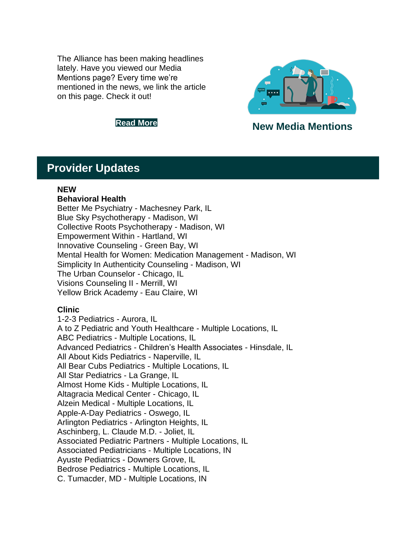The Alliance has been making headlines lately. Have you viewed our Media Mentions page? Every time we're mentioned in the news, we link the article on this page. Check it out!





**[Read](https://nam12.safelinks.protection.outlook.com/?url=http%3A%2F%2Fsend.the-alliance.org%2Flink.cfm%3Fr%3Dt1nVu6zhfyhdHlVQCxZuKw~~%26pe%3DHXmioYQJjNroIzb802WLmDaVfDl4u6T9tlu4zan_DrKg0FlLjy4qkVhv0KOgE2kCxjgGnBvmy0mfvSWsA9R7UQ~~%26t%3Dl5PHDvPRC8Z87L1WrQSpAQ~~&data=05%7C01%7Cashohoney%40the-alliance.org%7Ca56c03aba8964fdaf36d08da3f31c663%7Cb887508f1654468eb5f63fec959c408d%7C0%7C0%7C637891780261254660%7CUnknown%7CTWFpbGZsb3d8eyJWIjoiMC4wLjAwMDAiLCJQIjoiV2luMzIiLCJBTiI6Ik1haWwiLCJXVCI6Mn0%3D%7C3000%7C%7C%7C&sdata=VTrpDWin%2BKqB40trMLFJ%2FYYSpWqMcmxWmo7QYNr9D1I%3D&reserved=0) More New Media Mentions**

## <span id="page-3-0"></span>**Provider Updates**

### **NEW**

### **Behavioral Health**

Better Me Psychiatry - Machesney Park, IL Blue Sky Psychotherapy - Madison, WI Collective Roots Psychotherapy - Madison, WI Empowerment Within - Hartland, WI Innovative Counseling - Green Bay, WI Mental Health for Women: Medication Management - Madison, WI Simplicity In Authenticity Counseling - Madison, WI The Urban Counselor - Chicago, IL Visions Counseling II - Merrill, WI Yellow Brick Academy - Eau Claire, WI

## **Clinic**

1-2-3 Pediatrics - Aurora, IL A to Z Pediatric and Youth Healthcare - Multiple Locations, IL ABC Pediatrics - Multiple Locations, IL Advanced Pediatrics - Children's Health Associates - Hinsdale, IL All About Kids Pediatrics - Naperville, IL All Bear Cubs Pediatrics - Multiple Locations, IL All Star Pediatrics - La Grange, IL Almost Home Kids - Multiple Locations, IL Altagracia Medical Center - Chicago, IL Alzein Medical - Multiple Locations, IL Apple-A-Day Pediatrics - Oswego, IL Arlington Pediatrics - Arlington Heights, IL Aschinberg, L. Claude M.D. - Joliet, IL Associated Pediatric Partners - Multiple Locations, IL Associated Pediatricians - Multiple Locations, IN Ayuste Pediatrics - Downers Grove, IL Bedrose Pediatrics - Multiple Locations, IL C. Tumacder, MD - Multiple Locations, IN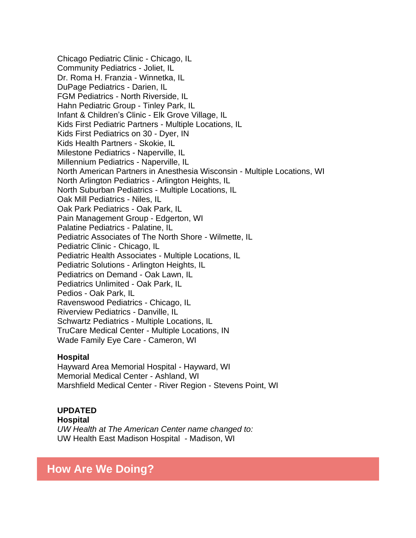Chicago Pediatric Clinic - Chicago, IL Community Pediatrics - Joliet, IL Dr. Roma H. Franzia - Winnetka, IL DuPage Pediatrics - Darien, IL FGM Pediatrics - North Riverside, IL Hahn Pediatric Group - Tinley Park, IL Infant & Children's Clinic - Elk Grove Village, IL Kids First Pediatric Partners - Multiple Locations, IL Kids First Pediatrics on 30 - Dyer, IN Kids Health Partners - Skokie, IL Milestone Pediatrics - Naperville, IL Millennium Pediatrics - Naperville, IL North American Partners in Anesthesia Wisconsin - Multiple Locations, WI North Arlington Pediatrics - Arlington Heights, IL North Suburban Pediatrics - Multiple Locations, IL Oak Mill Pediatrics - Niles, IL Oak Park Pediatrics - Oak Park, IL Pain Management Group - Edgerton, WI Palatine Pediatrics - Palatine, IL Pediatric Associates of The North Shore - Wilmette, IL Pediatric Clinic - Chicago, IL Pediatric Health Associates - Multiple Locations, IL Pediatric Solutions - Arlington Heights, IL Pediatrics on Demand - Oak Lawn, IL Pediatrics Unlimited - Oak Park, IL Pedios - Oak Park, IL Ravenswood Pediatrics - Chicago, IL Riverview Pediatrics - Danville, IL Schwartz Pediatrics - Multiple Locations, IL TruCare Medical Center - Multiple Locations, IN Wade Family Eye Care - Cameron, WI

### **Hospital**

Hayward Area Memorial Hospital - Hayward, WI Memorial Medical Center - Ashland, WI Marshfield Medical Center - River Region - Stevens Point, WI

### **UPDATED Hospital**

*UW Health at The American Center name changed to:* UW Health East Madison Hospital - Madison, WI

## **How Are We Doing?**